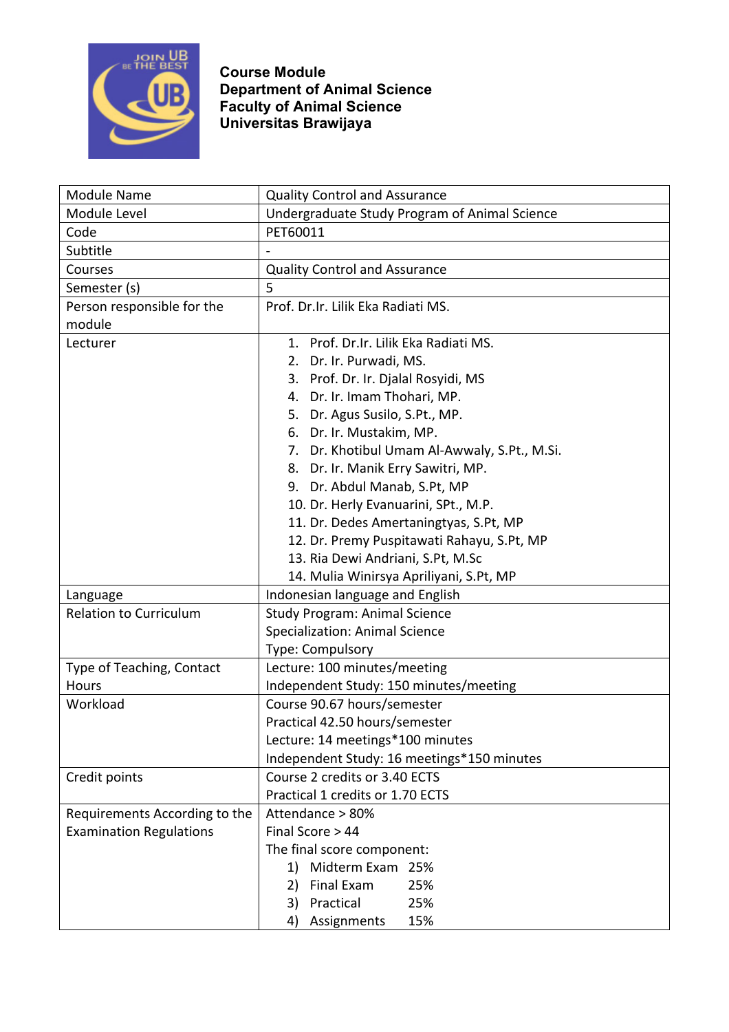

| <b>Module Name</b>             | <b>Quality Control and Assurance</b>          |
|--------------------------------|-----------------------------------------------|
| Module Level                   | Undergraduate Study Program of Animal Science |
| Code                           | PET60011                                      |
| Subtitle                       |                                               |
| Courses                        | <b>Quality Control and Assurance</b>          |
| Semester (s)                   | 5                                             |
| Person responsible for the     | Prof. Dr.Ir. Lilik Eka Radiati MS.            |
| module                         |                                               |
| Lecturer                       | 1. Prof. Dr. Ir. Lilik Eka Radiati MS.        |
|                                | 2. Dr. Ir. Purwadi, MS.                       |
|                                | 3. Prof. Dr. Ir. Djalal Rosyidi, MS           |
|                                | 4. Dr. Ir. Imam Thohari, MP.                  |
|                                | 5. Dr. Agus Susilo, S.Pt., MP.                |
|                                | 6. Dr. Ir. Mustakim, MP.                      |
|                                | 7. Dr. Khotibul Umam Al-Awwaly, S.Pt., M.Si.  |
|                                | 8. Dr. Ir. Manik Erry Sawitri, MP.            |
|                                | 9. Dr. Abdul Manab, S.Pt, MP                  |
|                                | 10. Dr. Herly Evanuarini, SPt., M.P.          |
|                                | 11. Dr. Dedes Amertaningtyas, S.Pt, MP        |
|                                | 12. Dr. Premy Puspitawati Rahayu, S.Pt, MP    |
|                                | 13. Ria Dewi Andriani, S.Pt, M.Sc             |
|                                | 14. Mulia Winirsya Apriliyani, S.Pt, MP       |
| Language                       | Indonesian language and English               |
| <b>Relation to Curriculum</b>  | <b>Study Program: Animal Science</b>          |
|                                | <b>Specialization: Animal Science</b>         |
|                                | Type: Compulsory                              |
| Type of Teaching, Contact      | Lecture: 100 minutes/meeting                  |
| <b>Hours</b>                   | Independent Study: 150 minutes/meeting        |
| Workload                       | Course 90.67 hours/semester                   |
|                                | Practical 42.50 hours/semester                |
|                                | Lecture: 14 meetings*100 minutes              |
|                                | Independent Study: 16 meetings*150 minutes    |
| Credit points                  | Course 2 credits or 3.40 ECTS                 |
|                                | Practical 1 credits or 1.70 ECTS              |
| Requirements According to the  | Attendance > 80%                              |
| <b>Examination Regulations</b> | Final Score > 44                              |
|                                | The final score component:                    |
|                                | Midterm Exam 25%<br>1)                        |
|                                | 25%<br>Final Exam<br>2)                       |
|                                | Practical<br>25%<br>3)                        |
|                                | 15%<br>Assignments<br>4)                      |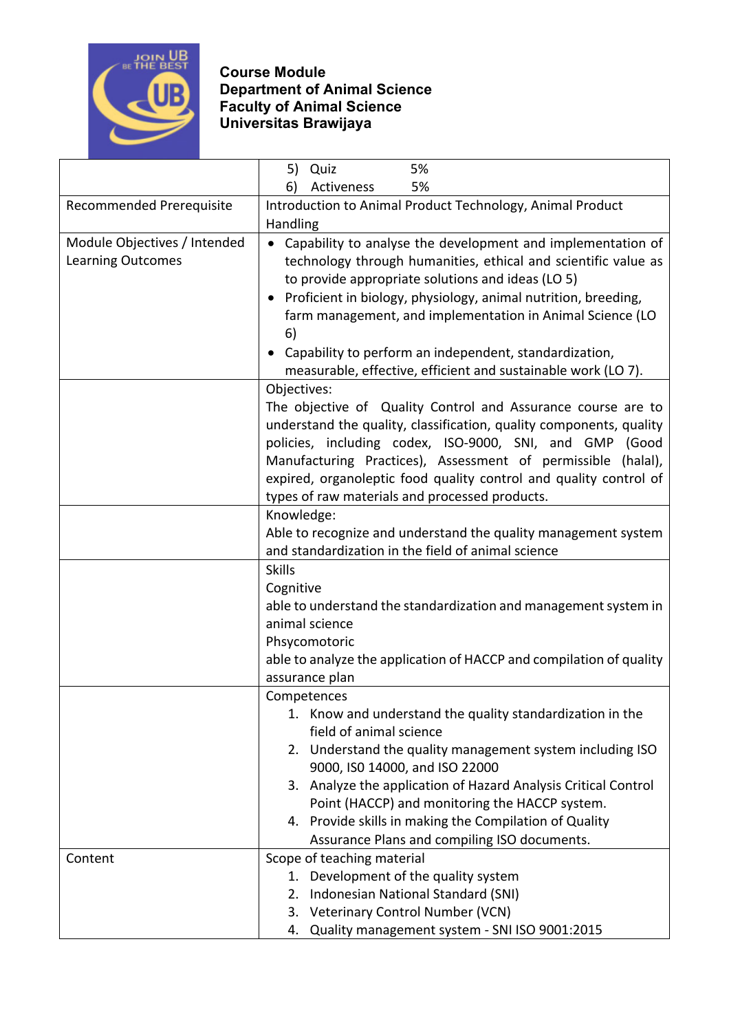

|                              | 5%<br>5) Quiz                                                       |
|------------------------------|---------------------------------------------------------------------|
|                              | 5%<br>6)<br>Activeness                                              |
| Recommended Prerequisite     | Introduction to Animal Product Technology, Animal Product           |
|                              | Handling                                                            |
| Module Objectives / Intended | Capability to analyse the development and implementation of         |
| <b>Learning Outcomes</b>     | technology through humanities, ethical and scientific value as      |
|                              | to provide appropriate solutions and ideas (LO 5)                   |
|                              | • Proficient in biology, physiology, animal nutrition, breeding,    |
|                              | farm management, and implementation in Animal Science (LO           |
|                              | 6)                                                                  |
|                              | Capability to perform an independent, standardization,              |
|                              | measurable, effective, efficient and sustainable work (LO 7).       |
|                              | Objectives:                                                         |
|                              | The objective of Quality Control and Assurance course are to        |
|                              | understand the quality, classification, quality components, quality |
|                              | policies, including codex, ISO-9000, SNI, and GMP (Good             |
|                              | Manufacturing Practices), Assessment of permissible (halal),        |
|                              | expired, organoleptic food quality control and quality control of   |
|                              | types of raw materials and processed products.                      |
|                              | Knowledge:                                                          |
|                              | Able to recognize and understand the quality management system      |
|                              | and standardization in the field of animal science                  |
|                              | <b>Skills</b>                                                       |
|                              | Cognitive                                                           |
|                              | able to understand the standardization and management system in     |
|                              | animal science                                                      |
|                              | Phsycomotoric                                                       |
|                              | able to analyze the application of HACCP and compilation of quality |
|                              | assurance plan                                                      |
|                              | Competences                                                         |
|                              | Know and understand the quality standardization in the              |
|                              | field of animal science                                             |
|                              | 2. Understand the quality management system including ISO           |
|                              | 9000, ISO 14000, and ISO 22000                                      |
|                              | 3. Analyze the application of Hazard Analysis Critical Control      |
|                              | Point (HACCP) and monitoring the HACCP system.                      |
|                              | 4. Provide skills in making the Compilation of Quality              |
|                              | Assurance Plans and compiling ISO documents.                        |
| Content                      | Scope of teaching material                                          |
|                              | Development of the quality system<br>1.                             |
|                              | 2. Indonesian National Standard (SNI)                               |
|                              | 3. Veterinary Control Number (VCN)                                  |
|                              | Quality management system - SNI ISO 9001:2015<br>4.                 |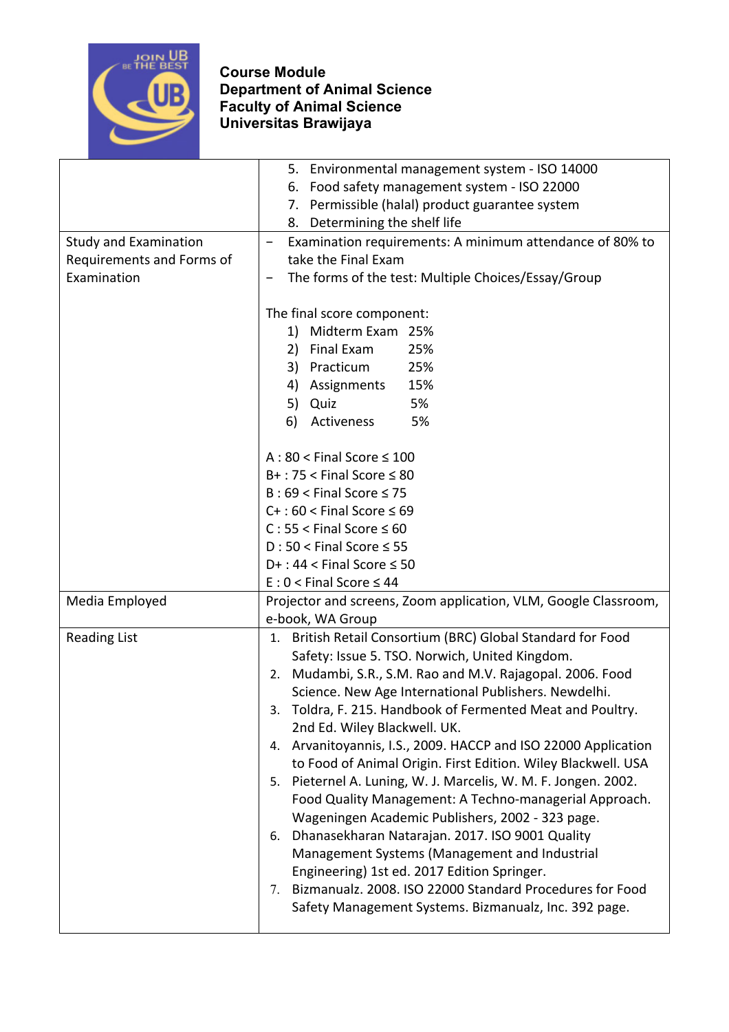

|                                                                          | 5. Environmental management system - ISO 14000                                                                                                                                                                                                                                                                                                                                                                                                                                                                                                                                                                                                                                                                                                                                                                                                                                                                                                      |
|--------------------------------------------------------------------------|-----------------------------------------------------------------------------------------------------------------------------------------------------------------------------------------------------------------------------------------------------------------------------------------------------------------------------------------------------------------------------------------------------------------------------------------------------------------------------------------------------------------------------------------------------------------------------------------------------------------------------------------------------------------------------------------------------------------------------------------------------------------------------------------------------------------------------------------------------------------------------------------------------------------------------------------------------|
|                                                                          | Food safety management system - ISO 22000<br>6.                                                                                                                                                                                                                                                                                                                                                                                                                                                                                                                                                                                                                                                                                                                                                                                                                                                                                                     |
|                                                                          | Permissible (halal) product guarantee system<br>7.                                                                                                                                                                                                                                                                                                                                                                                                                                                                                                                                                                                                                                                                                                                                                                                                                                                                                                  |
|                                                                          | Determining the shelf life<br>8.                                                                                                                                                                                                                                                                                                                                                                                                                                                                                                                                                                                                                                                                                                                                                                                                                                                                                                                    |
| <b>Study and Examination</b><br>Requirements and Forms of<br>Examination | Examination requirements: A minimum attendance of 80% to<br>$\overline{\phantom{0}}$<br>take the Final Exam<br>The forms of the test: Multiple Choices/Essay/Group                                                                                                                                                                                                                                                                                                                                                                                                                                                                                                                                                                                                                                                                                                                                                                                  |
|                                                                          | The final score component:<br>1) Midterm Exam 25%<br>2)<br>Final Exam<br>25%<br>Practicum<br>3)<br>25%<br>4) Assignments<br>15%<br>5%<br>5) Quiz<br>6)<br>Activeness<br>5%<br>$A:80 <$ Final Score $\leq 100$<br>$B+$ : 75 < Final Score $\leq 80$<br>$B:69 <$ Final Score $\leq 75$<br>$C+$ : 60 < Final Score $\leq 69$<br>$C: 55 <$ Final Score $\leq 60$<br>$D: 50 <$ Final Score $\leq 55$<br>$D+$ : 44 < Final Score $\leq$ 50<br>$E: 0 <$ Final Score $\leq 44$                                                                                                                                                                                                                                                                                                                                                                                                                                                                              |
| Media Employed                                                           | Projector and screens, Zoom application, VLM, Google Classroom,<br>e-book, WA Group                                                                                                                                                                                                                                                                                                                                                                                                                                                                                                                                                                                                                                                                                                                                                                                                                                                                 |
| <b>Reading List</b>                                                      | British Retail Consortium (BRC) Global Standard for Food<br>1.<br>Safety: Issue 5. TSO. Norwich, United Kingdom.<br>2. Mudambi, S.R., S.M. Rao and M.V. Rajagopal. 2006. Food<br>Science. New Age International Publishers. Newdelhi.<br>Toldra, F. 215. Handbook of Fermented Meat and Poultry.<br>3.<br>2nd Ed. Wiley Blackwell. UK.<br>Arvanitoyannis, I.S., 2009. HACCP and ISO 22000 Application<br>4.<br>to Food of Animal Origin. First Edition. Wiley Blackwell. USA<br>Pieternel A. Luning, W. J. Marcelis, W. M. F. Jongen. 2002.<br>5.<br>Food Quality Management: A Techno-managerial Approach.<br>Wageningen Academic Publishers, 2002 - 323 page.<br>Dhanasekharan Natarajan. 2017. ISO 9001 Quality<br>6.<br>Management Systems (Management and Industrial<br>Engineering) 1st ed. 2017 Edition Springer.<br>Bizmanualz. 2008. ISO 22000 Standard Procedures for Food<br>7.<br>Safety Management Systems. Bizmanualz, Inc. 392 page. |